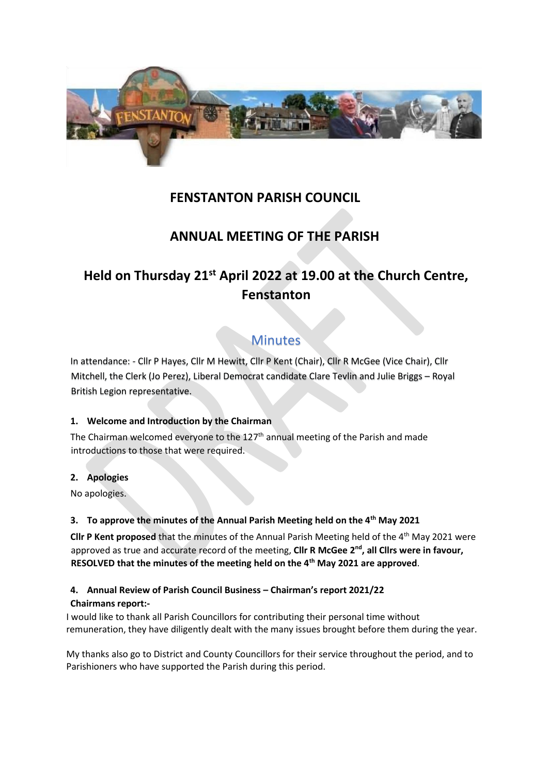

## **FENSTANTON PARISH COUNCIL**

## **ANNUAL MEETING OF THE PARISH**

# **Held on Thursday 21st April 2022 at 19.00 at the Church Centre, Fenstanton**

## **Minutes**

In attendance: - Cllr P Hayes, Cllr M Hewitt, Cllr P Kent (Chair), Cllr R McGee (Vice Chair), Cllr Mitchell, the Clerk (Jo Perez), Liberal Democrat candidate Clare Tevlin and Julie Briggs – Royal British Legion representative.

## **1. Welcome and Introduction by the Chairman**

The Chairman welcomed everyone to the  $127<sup>th</sup>$  annual meeting of the Parish and made introductions to those that were required.

## **2. Apologies**

No apologies.

## **3. To approve the minutes of the Annual Parish Meeting held on the 4th May 2021**

**Cllr P Kent proposed** that the minutes of the Annual Parish Meeting held of the 4<sup>th</sup> May 2021 were approved as true and accurate record of the meeting, **Cllr R McGee 2<sup>nd</sup>, all Cllrs were in favour, RESOLVED that the minutes of the meeting held on the 4th May 2021 are approved**.

## **4. Annual Review of Parish Council Business – Chairman's report 2021/22**

## **Chairmans report:-**

I would like to thank all Parish Councillors for contributing their personal time without remuneration, they have diligently dealt with the many issues brought before them during the year.

My thanks also go to District and County Councillors for their service throughout the period, and to Parishioners who have supported the Parish during this period.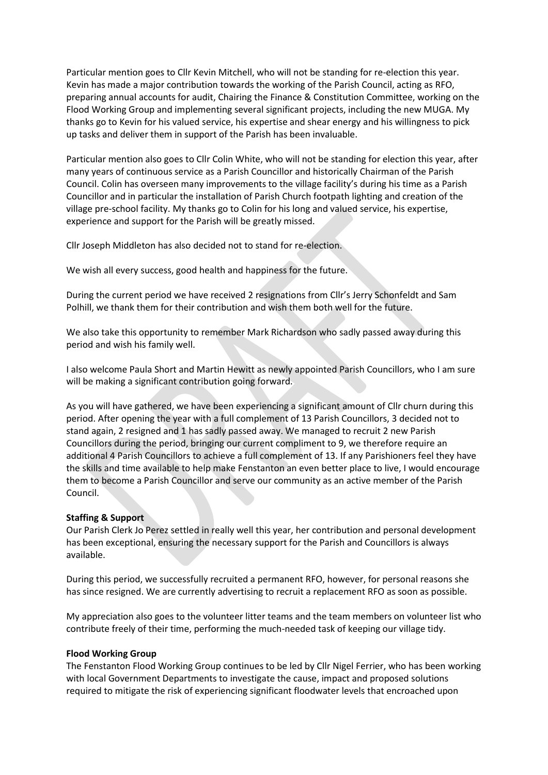Particular mention goes to Cllr Kevin Mitchell, who will not be standing for re-election this year. Kevin has made a major contribution towards the working of the Parish Council, acting as RFO, preparing annual accounts for audit, Chairing the Finance & Constitution Committee, working on the Flood Working Group and implementing several significant projects, including the new MUGA. My thanks go to Kevin for his valued service, his expertise and shear energy and his willingness to pick up tasks and deliver them in support of the Parish has been invaluable.

Particular mention also goes to Cllr Colin White, who will not be standing for election this year, after many years of continuous service as a Parish Councillor and historically Chairman of the Parish Council. Colin has overseen many improvements to the village facility's during his time as a Parish Councillor and in particular the installation of Parish Church footpath lighting and creation of the village pre-school facility. My thanks go to Colin for his long and valued service, his expertise, experience and support for the Parish will be greatly missed.

Cllr Joseph Middleton has also decided not to stand for re-election.

We wish all every success, good health and happiness for the future.

During the current period we have received 2 resignations from Cllr's Jerry Schonfeldt and Sam Polhill, we thank them for their contribution and wish them both well for the future.

We also take this opportunity to remember Mark Richardson who sadly passed away during this period and wish his family well.

I also welcome Paula Short and Martin Hewitt as newly appointed Parish Councillors, who I am sure will be making a significant contribution going forward.

As you will have gathered, we have been experiencing a significant amount of Cllr churn during this period. After opening the year with a full complement of 13 Parish Councillors, 3 decided not to stand again, 2 resigned and 1 has sadly passed away. We managed to recruit 2 new Parish Councillors during the period, bringing our current compliment to 9, we therefore require an additional 4 Parish Councillors to achieve a full complement of 13. If any Parishioners feel they have the skills and time available to help make Fenstanton an even better place to live, I would encourage them to become a Parish Councillor and serve our community as an active member of the Parish Council.

#### **Staffing & Support**

Our Parish Clerk Jo Perez settled in really well this year, her contribution and personal development has been exceptional, ensuring the necessary support for the Parish and Councillors is always available.

During this period, we successfully recruited a permanent RFO, however, for personal reasons she has since resigned. We are currently advertising to recruit a replacement RFO as soon as possible.

My appreciation also goes to the volunteer litter teams and the team members on volunteer list who contribute freely of their time, performing the much-needed task of keeping our village tidy.

#### **Flood Working Group**

The Fenstanton Flood Working Group continues to be led by Cllr Nigel Ferrier, who has been working with local Government Departments to investigate the cause, impact and proposed solutions required to mitigate the risk of experiencing significant floodwater levels that encroached upon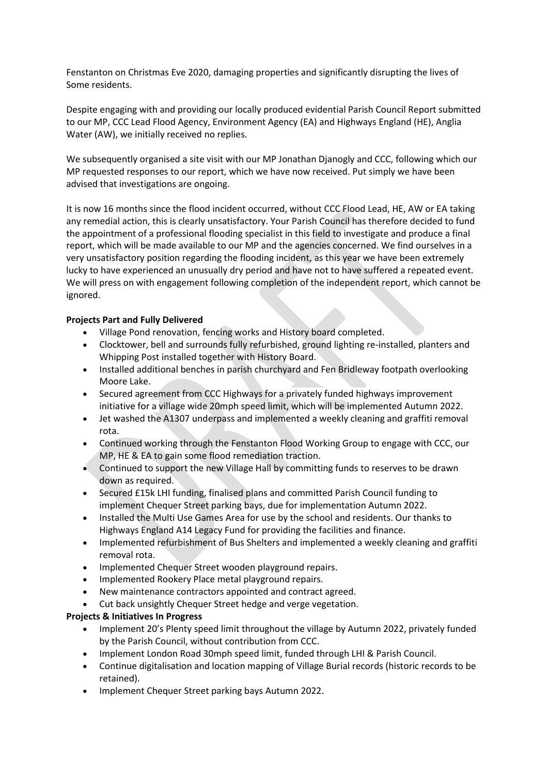Fenstanton on Christmas Eve 2020, damaging properties and significantly disrupting the lives of Some residents.

Despite engaging with and providing our locally produced evidential Parish Council Report submitted to our MP, CCC Lead Flood Agency, Environment Agency (EA) and Highways England (HE), Anglia Water (AW), we initially received no replies.

We subsequently organised a site visit with our MP Jonathan Djanogly and CCC, following which our MP requested responses to our report, which we have now received. Put simply we have been advised that investigations are ongoing.

It is now 16 months since the flood incident occurred, without CCC Flood Lead, HE, AW or EA taking any remedial action, this is clearly unsatisfactory. Your Parish Council has therefore decided to fund the appointment of a professional flooding specialist in this field to investigate and produce a final report, which will be made available to our MP and the agencies concerned. We find ourselves in a very unsatisfactory position regarding the flooding incident, as this year we have been extremely lucky to have experienced an unusually dry period and have not to have suffered a repeated event. We will press on with engagement following completion of the independent report, which cannot be ignored.

## **Projects Part and Fully Delivered**

- Village Pond renovation, fencing works and History board completed.
- Clocktower, bell and surrounds fully refurbished, ground lighting re-installed, planters and Whipping Post installed together with History Board.
- Installed additional benches in parish churchyard and Fen Bridleway footpath overlooking Moore Lake.
- Secured agreement from CCC Highways for a privately funded highways improvement initiative for a village wide 20mph speed limit, which will be implemented Autumn 2022.
- Jet washed the A1307 underpass and implemented a weekly cleaning and graffiti removal rota.
- Continued working through the Fenstanton Flood Working Group to engage with CCC, our MP, HE & EA to gain some flood remediation traction.
- Continued to support the new Village Hall by committing funds to reserves to be drawn down as required.
- Secured £15k LHI funding, finalised plans and committed Parish Council funding to implement Chequer Street parking bays, due for implementation Autumn 2022.
- Installed the Multi Use Games Area for use by the school and residents. Our thanks to Highways England A14 Legacy Fund for providing the facilities and finance.
- Implemented refurbishment of Bus Shelters and implemented a weekly cleaning and graffiti removal rota.
- Implemented Chequer Street wooden playground repairs.
- Implemented Rookery Place metal playground repairs.
- New maintenance contractors appointed and contract agreed.
- Cut back unsightly Chequer Street hedge and verge vegetation.

## **Projects & Initiatives In Progress**

- Implement 20's Plenty speed limit throughout the village by Autumn 2022, privately funded by the Parish Council, without contribution from CCC.
- Implement London Road 30mph speed limit, funded through LHI & Parish Council.
- Continue digitalisation and location mapping of Village Burial records (historic records to be retained).
- Implement Chequer Street parking bays Autumn 2022.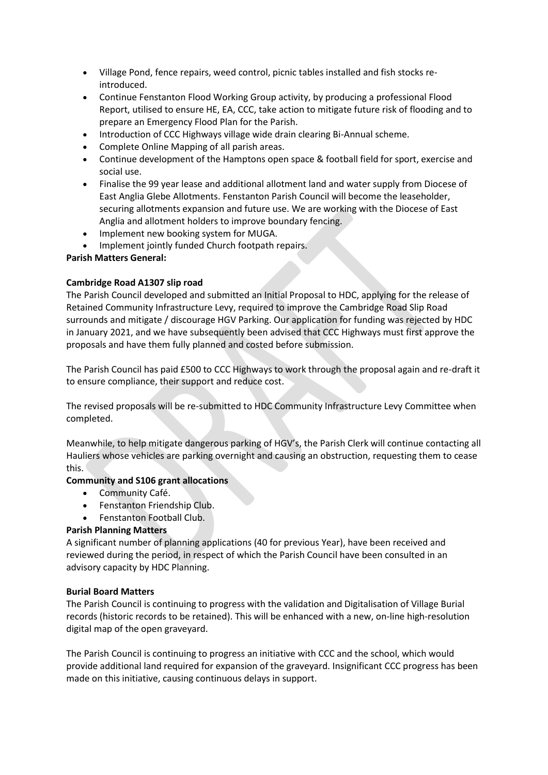- Village Pond, fence repairs, weed control, picnic tables installed and fish stocks reintroduced.
- Continue Fenstanton Flood Working Group activity, by producing a professional Flood Report, utilised to ensure HE, EA, CCC, take action to mitigate future risk of flooding and to prepare an Emergency Flood Plan for the Parish.
- Introduction of CCC Highways village wide drain clearing Bi-Annual scheme.
- Complete Online Mapping of all parish areas.
- Continue development of the Hamptons open space & football field for sport, exercise and social use.
- Finalise the 99 year lease and additional allotment land and water supply from Diocese of East Anglia Glebe Allotments. Fenstanton Parish Council will become the leaseholder, securing allotments expansion and future use. We are working with the Diocese of East Anglia and allotment holders to improve boundary fencing.
- Implement new booking system for MUGA.
- Implement jointly funded Church footpath repairs.

#### **Parish Matters General:**

#### **Cambridge Road A1307 slip road**

The Parish Council developed and submitted an Initial Proposal to HDC, applying for the release of Retained Community Infrastructure Levy, required to improve the Cambridge Road Slip Road surrounds and mitigate / discourage HGV Parking. Our application for funding was rejected by HDC in January 2021, and we have subsequently been advised that CCC Highways must first approve the proposals and have them fully planned and costed before submission.

The Parish Council has paid £500 to CCC Highways to work through the proposal again and re-draft it to ensure compliance, their support and reduce cost.

The revised proposals will be re-submitted to HDC Community Infrastructure Levy Committee when completed.

Meanwhile, to help mitigate dangerous parking of HGV's, the Parish Clerk will continue contacting all Hauliers whose vehicles are parking overnight and causing an obstruction, requesting them to cease this.

#### **Community and S106 grant allocations**

- Community Café.
- Fenstanton Friendship Club.
- Fenstanton Football Club.

## **Parish Planning Matters**

A significant number of planning applications (40 for previous Year), have been received and reviewed during the period, in respect of which the Parish Council have been consulted in an advisory capacity by HDC Planning.

#### **Burial Board Matters**

The Parish Council is continuing to progress with the validation and Digitalisation of Village Burial records (historic records to be retained). This will be enhanced with a new, on-line high-resolution digital map of the open graveyard.

The Parish Council is continuing to progress an initiative with CCC and the school, which would provide additional land required for expansion of the graveyard. Insignificant CCC progress has been made on this initiative, causing continuous delays in support.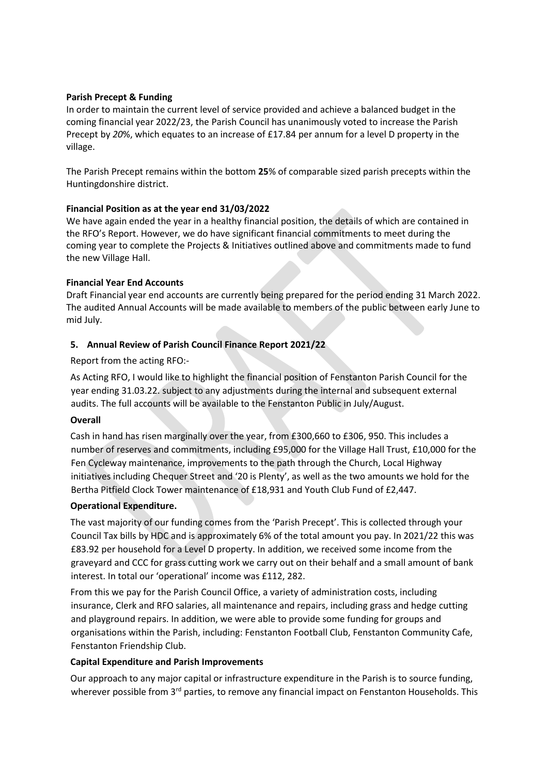#### **Parish Precept & Funding**

In order to maintain the current level of service provided and achieve a balanced budget in the coming financial year 2022/23, the Parish Council has unanimously voted to increase the Parish Precept by *20*%, which equates to an increase of £17.84 per annum for a level D property in the village.

The Parish Precept remains within the bottom **25**% of comparable sized parish precepts within the Huntingdonshire district.

#### **Financial Position as at the year end 31/03/2022**

We have again ended the year in a healthy financial position, the details of which are contained in the RFO's Report. However, we do have significant financial commitments to meet during the coming year to complete the Projects & Initiatives outlined above and commitments made to fund the new Village Hall.

#### **Financial Year End Accounts**

Draft Financial year end accounts are currently being prepared for the period ending 31 March 2022. The audited Annual Accounts will be made available to members of the public between early June to mid July.

## **5. Annual Review of Parish Council Finance Report 2021/22**

Report from the acting RFO:-

As Acting RFO, I would like to highlight the financial position of Fenstanton Parish Council for the year ending 31.03.22. subject to any adjustments during the internal and subsequent external audits. The full accounts will be available to the Fenstanton Public in July/August.

#### **Overall**

Cash in hand has risen marginally over the year, from £300,660 to £306, 950. This includes a number of reserves and commitments, including £95,000 for the Village Hall Trust, £10,000 for the Fen Cycleway maintenance, improvements to the path through the Church, Local Highway initiatives including Chequer Street and '20 is Plenty', as well as the two amounts we hold for the Bertha Pitfield Clock Tower maintenance of £18,931 and Youth Club Fund of £2,447.

## **Operational Expenditure.**

The vast majority of our funding comes from the 'Parish Precept'. This is collected through your Council Tax bills by HDC and is approximately 6% of the total amount you pay. In 2021/22 this was £83.92 per household for a Level D property. In addition, we received some income from the graveyard and CCC for grass cutting work we carry out on their behalf and a small amount of bank interest. In total our 'operational' income was £112, 282.

From this we pay for the Parish Council Office, a variety of administration costs, including insurance, Clerk and RFO salaries, all maintenance and repairs, including grass and hedge cutting and playground repairs. In addition, we were able to provide some funding for groups and organisations within the Parish, including: Fenstanton Football Club, Fenstanton Community Cafe, Fenstanton Friendship Club.

#### **Capital Expenditure and Parish Improvements**

Our approach to any major capital or infrastructure expenditure in the Parish is to source funding, wherever possible from 3<sup>rd</sup> parties, to remove any financial impact on Fenstanton Households. This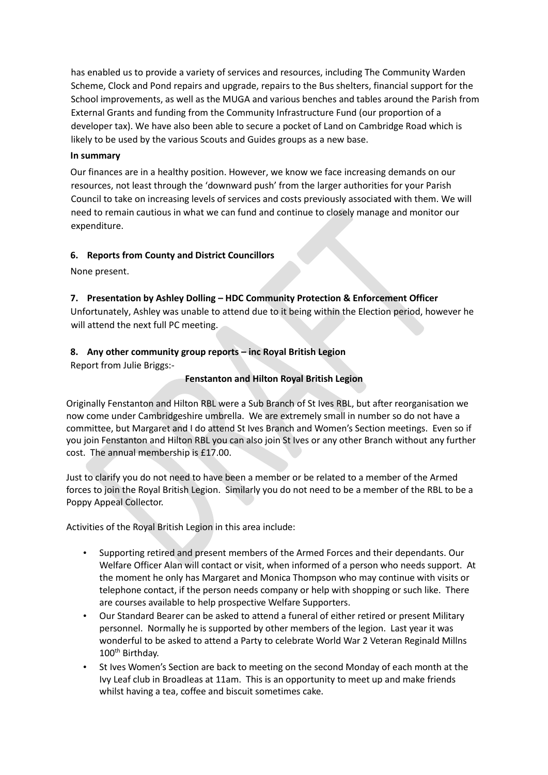has enabled us to provide a variety of services and resources, including The Community Warden Scheme, Clock and Pond repairs and upgrade, repairs to the Bus shelters, financial support for the School improvements, as well as the MUGA and various benches and tables around the Parish from External Grants and funding from the Community Infrastructure Fund (our proportion of a developer tax). We have also been able to secure a pocket of Land on Cambridge Road which is likely to be used by the various Scouts and Guides groups as a new base.

#### **In summary**

Our finances are in a healthy position. However, we know we face increasing demands on our resources, not least through the 'downward push' from the larger authorities for your Parish Council to take on increasing levels of services and costs previously associated with them. We will need to remain cautious in what we can fund and continue to closely manage and monitor our expenditure.

## **6. Reports from County and District Councillors**

None present.

## **7. Presentation by Ashley Dolling – HDC Community Protection & Enforcement Officer**

Unfortunately, Ashley was unable to attend due to it being within the Election period, however he will attend the next full PC meeting.

## **8. Any other community group reports – inc Royal British Legion**

Report from Julie Briggs:-

#### **Fenstanton and Hilton Royal British Legion**

Originally Fenstanton and Hilton RBL were a Sub Branch of St Ives RBL, but after reorganisation we now come under Cambridgeshire umbrella. We are extremely small in number so do not have a committee, but Margaret and I do attend St Ives Branch and Women's Section meetings. Even so if you join Fenstanton and Hilton RBL you can also join St Ives or any other Branch without any further cost. The annual membership is £17.00.

Just to clarify you do not need to have been a member or be related to a member of the Armed forces to join the Royal British Legion. Similarly you do not need to be a member of the RBL to be a Poppy Appeal Collector.

Activities of the Royal British Legion in this area include:

- Supporting retired and present members of the Armed Forces and their dependants. Our Welfare Officer Alan will contact or visit, when informed of a person who needs support. At the moment he only has Margaret and Monica Thompson who may continue with visits or telephone contact, if the person needs company or help with shopping or such like. There are courses available to help prospective Welfare Supporters.
- Our Standard Bearer can be asked to attend a funeral of either retired or present Military personnel. Normally he is supported by other members of the legion. Last year it was wonderful to be asked to attend a Party to celebrate World War 2 Veteran Reginald Millns 100th Birthday.
- St Ives Women's Section are back to meeting on the second Monday of each month at the Ivy Leaf club in Broadleas at 11am. This is an opportunity to meet up and make friends whilst having a tea, coffee and biscuit sometimes cake.